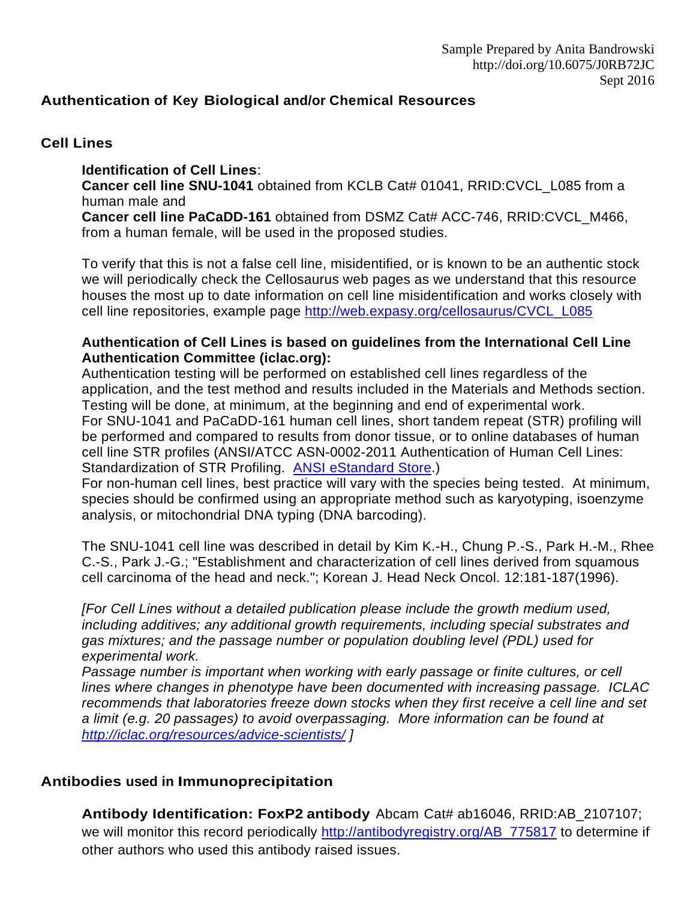### **Authentication of Key Biological and/or Chemical Resources**

#### **Cell Lines**

#### **Identification of Cell Lines**:

**Cancer cell line SNU-1041** obtained from KCLB Cat# [01041,](http://cellbank.snu.ac.kr/english/sub/catalog.php?page=detail&CatNo=59&strQ=01041&submit1=Find+it) RRID:CVCL\_L085 from a human male and

**Cancer cell line PaCaDD-161** obtained from DSMZ Cat# ACC-746, RRID:CVCL\_M466, from a human female, will be used in the proposed studies.

To verify that this is not a false cell line, misidentified, or is known to be an authentic stock we will periodically check the Cellosaurus web pages as we understand that this resource houses the most up to date information on cell line misidentification and works closely with cell line repositories, example page [http://web.expasy.org/cellosaurus/CVCL\\_L085](http://web.expasy.org/cellosaurus/CVCL_L085)

#### **Authentication of Cell Lines is based on guidelines from the International Cell Line Authentication Committee (iclac.org):**

Authentication testing will be performed on established cell lines regardless of the application, and the test method and results included in the Materials and Methods section. Testing will be done, at minimum, at the beginning and end of experimental work. For SNU-1041 and PaCaDD-161 human cell lines, short tandem repeat (STR) profiling will be performed and compared to results from donor tissue, or to online databases of human cell line STR profiles (ANSI/ATCC ASN-0002-2011 Authentication of Human Cell Lines: Standardization of STR Profiling. [ANSI eStandard Store.](http://webstore.ansi.org/RecordDetail.aspx?sku=ANSI%2FATCC+ASN-0002-2011))

For non-human cell lines, best practice will vary with the species being tested. At minimum, species should be confirmed using an appropriate method such as karyotyping, isoenzyme analysis, or mitochondrial DNA typing (DNA barcoding).

The SNU-1041 cell line was described in detail by Kim K.-H., Chung P.-S., Park H.-M., Rhee C.-S., Park J.-G.; "Establishment and characterization of cell lines derived from squamous cell carcinoma of the head and neck."; Korean J. Head Neck Oncol. 12:181-187(1996).

*[For Cell Lines without a detailed publication please include the growth medium used, including additives; any additional growth requirements, including special substrates and gas mixtures; and the passage number or population doubling level (PDL) used for experimental work.*

*Passage number is important when working with early passage or finite cultures, or cell lines where changes in phenotype have been documented with increasing passage. ICLAC recommends that laboratories freeze down stocks when they first receive a cell line and set a limit (e.g. 20 passages) to avoid overpassaging. More information can be found at <http://iclac.org/resources/advice-scientists/> ]*

### **Antibodies used in Immunoprecipitation**

**Antibody Identification: FoxP2 antibody** Abcam Cat# ab16046, RRID:AB\_2107107; we will monitor this record periodically [http://antibodyregistry.org/AB\\_775817](http://antibodyregistry.org/AB_775817) to determine if other authors who used this antibody raised issues.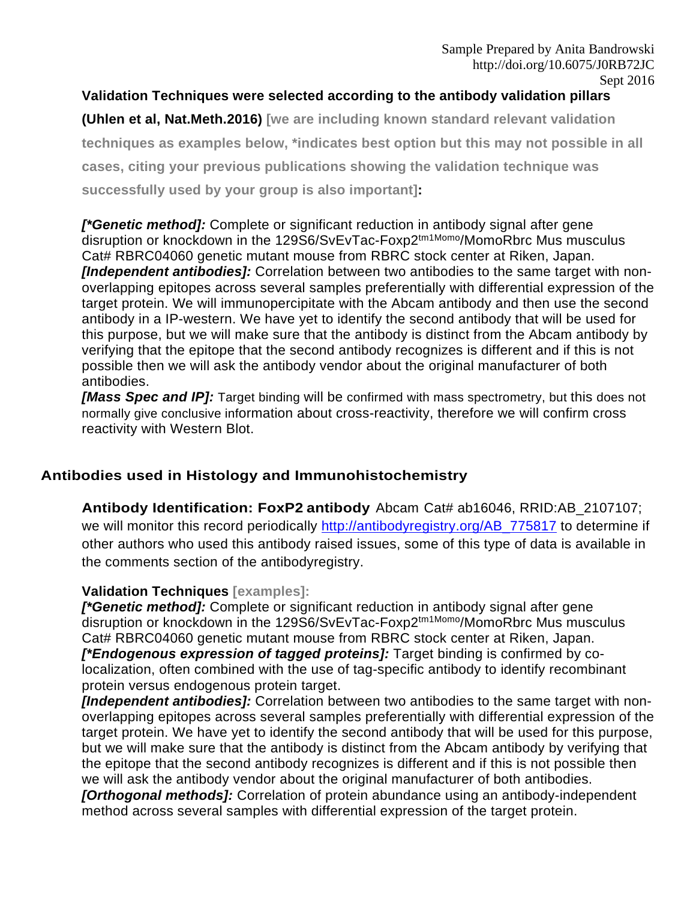## **Validation Techniques were selected according to the antibody validation pillars**

**(Uhlen et al, Nat.Meth.2016) [we are including known standard relevant validation techniques as examples below, \*indicates best option but this may not possible in all cases, citing your previous publications showing the validation technique was successfully used by your group is also important]:**

*[\*Genetic method]:* Complete or significant reduction in antibody signal after gene disruption or knockdown in the 129S6/SvEvTac-Foxp2<sup>tm1Momo</sup>/MomoRbrc Mus musculus Cat# RBRC04060 genetic mutant mouse from RBRC stock center at Riken, Japan. *[Independent antibodies]:* Correlation between two antibodies to the same target with nonoverlapping epitopes across several samples preferentially with differential expression of the target protein. We will immunopercipitate with the Abcam antibody and then use the second antibody in a IP-western. We have yet to identify the second antibody that will be used for this purpose, but we will make sure that the antibody is distinct from the Abcam antibody by verifying that the epitope that the second antibody recognizes is different and if this is not possible then we will ask the antibody vendor about the original manufacturer of both antibodies.

*[Mass Spec and IP]:* Target binding will be confirmed with mass spectrometry, but this does not normally give conclusive information about cross-reactivity, therefore we will confirm cross reactivity with Western Blot.

# **Antibodies used in Histology and Immunohistochemistry**

**Antibody Identification: FoxP2 antibody** Abcam Cat# ab16046, RRID:AB\_2107107; we will monitor this record periodically [http://antibodyregistry.org/AB\\_775817](http://antibodyregistry.org/AB_775817) to determine if other authors who used this antibody raised issues, some of this type of data is available in the comments section of the antibodyregistry.

### **Validation Techniques [examples]:**

*[\*Genetic method]:* Complete or significant reduction in antibody signal after gene disruption or knockdown in the 129S6/SvEvTac-Foxp2<sup>tm1Momo</sup>/MomoRbrc Mus musculus Cat# RBRC04060 genetic mutant mouse from RBRC stock center at Riken, Japan. *[\*Endogenous expression of tagged proteins]:* Target binding is confirmed by colocalization, often combined with the use of tag-specific antibody to identify recombinant protein versus endogenous protein target.

*[Independent antibodies]:* Correlation between two antibodies to the same target with nonoverlapping epitopes across several samples preferentially with differential expression of the target protein. We have yet to identify the second antibody that will be used for this purpose, but we will make sure that the antibody is distinct from the Abcam antibody by verifying that the epitope that the second antibody recognizes is different and if this is not possible then we will ask the antibody vendor about the original manufacturer of both antibodies.

*[Orthogonal methods]:* Correlation of protein abundance using an antibody-independent method across several samples with differential expression of the target protein.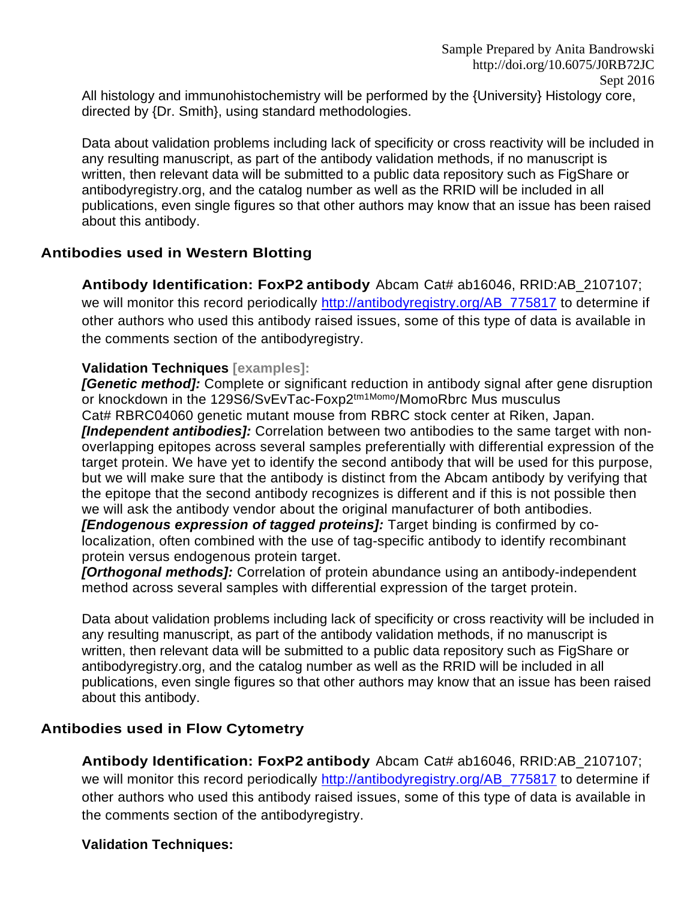All histology and immunohistochemistry will be performed by the {University} Histology core, directed by {Dr. Smith}, using standard methodologies.

Data about validation problems including lack of specificity or cross reactivity will be included in any resulting manuscript, as part of the antibody validation methods, if no manuscript is written, then relevant data will be submitted to a public data repository such as FigShare or antibodyregistry.org, and the catalog number as well as the RRID will be included in all publications, even single figures so that other authors may know that an issue has been raised about this antibody.

### **Antibodies used in Western Blotting**

**Antibody Identification: FoxP2 antibody** Abcam Cat# ab16046, RRID:AB\_2107107; we will monitor this record periodically [http://antibodyregistry.org/AB\\_775817](http://antibodyregistry.org/AB_775817) to determine if other authors who used this antibody raised issues, some of this type of data is available in the comments section of the antibodyregistry.

#### **Validation Techniques [examples]:**

*[Genetic method]:* Complete or significant reduction in antibody signal after gene disruption or knockdown in the 129S6/SvEvTac-Foxp2<sup>tm1Momo</sup>/MomoRbrc Mus musculus Cat# RBRC04060 genetic mutant mouse from RBRC stock center at Riken, Japan. *[Independent antibodies]:* Correlation between two antibodies to the same target with nonoverlapping epitopes across several samples preferentially with differential expression of the target protein. We have yet to identify the second antibody that will be used for this purpose, but we will make sure that the antibody is distinct from the Abcam antibody by verifying that the epitope that the second antibody recognizes is different and if this is not possible then we will ask the antibody vendor about the original manufacturer of both antibodies. *[Endogenous expression of tagged proteins]:* Target binding is confirmed by colocalization, often combined with the use of tag-specific antibody to identify recombinant

protein versus endogenous protein target.

*[Orthogonal methods]:* Correlation of protein abundance using an antibody-independent method across several samples with differential expression of the target protein.

Data about validation problems including lack of specificity or cross reactivity will be included in any resulting manuscript, as part of the antibody validation methods, if no manuscript is written, then relevant data will be submitted to a public data repository such as FigShare or antibodyregistry.org, and the catalog number as well as the RRID will be included in all publications, even single figures so that other authors may know that an issue has been raised about this antibody.

### **Antibodies used in Flow Cytometry**

**Antibody Identification: FoxP2 antibody** Abcam Cat# ab16046, RRID:AB\_2107107; we will monitor this record periodically [http://antibodyregistry.org/AB\\_775817](http://antibodyregistry.org/AB_775817) to determine if other authors who used this antibody raised issues, some of this type of data is available in the comments section of the antibodyregistry.

### **Validation Techniques:**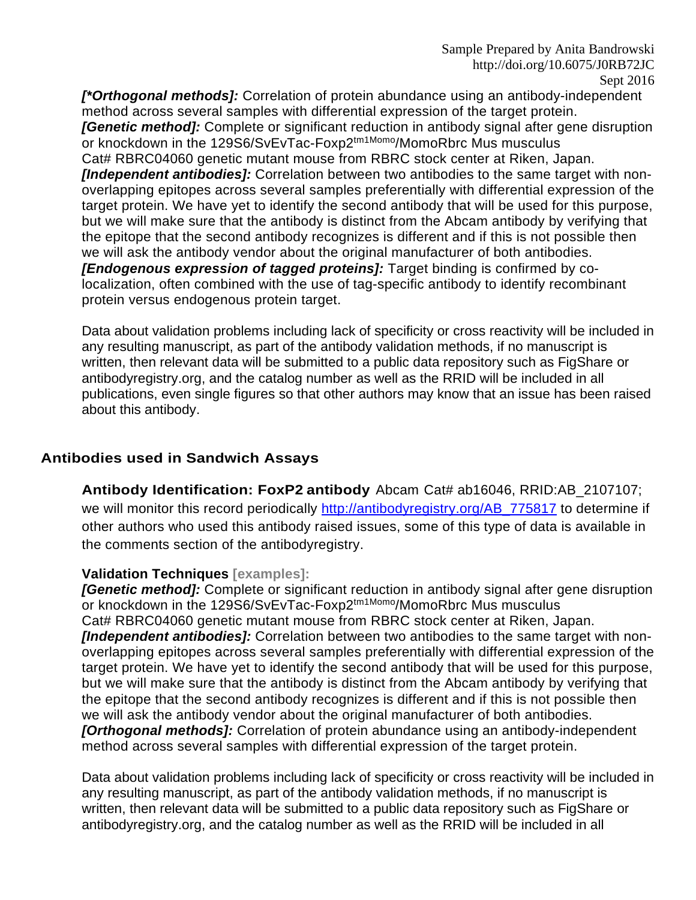*[\*Orthogonal methods]:* Correlation of protein abundance using an antibody-independent method across several samples with differential expression of the target protein. *[Genetic method]:* Complete or significant reduction in antibody signal after gene disruption or knockdown in the 129S6/SvEvTac-Foxp2<sup>tm1Momo</sup>/MomoRbrc Mus musculus Cat# RBRC04060 genetic mutant mouse from RBRC stock center at Riken, Japan. *[Independent antibodies]:* Correlation between two antibodies to the same target with nonoverlapping epitopes across several samples preferentially with differential expression of the target protein. We have yet to identify the second antibody that will be used for this purpose, but we will make sure that the antibody is distinct from the Abcam antibody by verifying that the epitope that the second antibody recognizes is different and if this is not possible then we will ask the antibody vendor about the original manufacturer of both antibodies. *[Endogenous expression of tagged proteins]:* Target binding is confirmed by colocalization, often combined with the use of tag-specific antibody to identify recombinant protein versus endogenous protein target.

Data about validation problems including lack of specificity or cross reactivity will be included in any resulting manuscript, as part of the antibody validation methods, if no manuscript is written, then relevant data will be submitted to a public data repository such as FigShare or antibodyregistry.org, and the catalog number as well as the RRID will be included in all publications, even single figures so that other authors may know that an issue has been raised about this antibody.

#### **Antibodies used in Sandwich Assays**

**Antibody Identification: FoxP2 antibody** Abcam Cat# ab16046, RRID:AB\_2107107; we will monitor this record periodically [http://antibodyregistry.org/AB\\_775817](http://antibodyregistry.org/AB_775817) to determine if other authors who used this antibody raised issues, some of this type of data is available in the comments section of the antibodyregistry.

#### **Validation Techniques [examples]:**

*[Genetic method]:* Complete or significant reduction in antibody signal after gene disruption or knockdown in the 129S6/SvEvTac-Foxp2<sup>tm1Momo</sup>/MomoRbrc Mus musculus Cat# RBRC04060 genetic mutant mouse from RBRC stock center at Riken, Japan. *[Independent antibodies]:* Correlation between two antibodies to the same target with nonoverlapping epitopes across several samples preferentially with differential expression of the target protein. We have yet to identify the second antibody that will be used for this purpose, but we will make sure that the antibody is distinct from the Abcam antibody by verifying that the epitope that the second antibody recognizes is different and if this is not possible then we will ask the antibody vendor about the original manufacturer of both antibodies. *[Orthogonal methods]:* Correlation of protein abundance using an antibody-independent method across several samples with differential expression of the target protein.

Data about validation problems including lack of specificity or cross reactivity will be included in any resulting manuscript, as part of the antibody validation methods, if no manuscript is written, then relevant data will be submitted to a public data repository such as FigShare or antibodyregistry.org, and the catalog number as well as the RRID will be included in all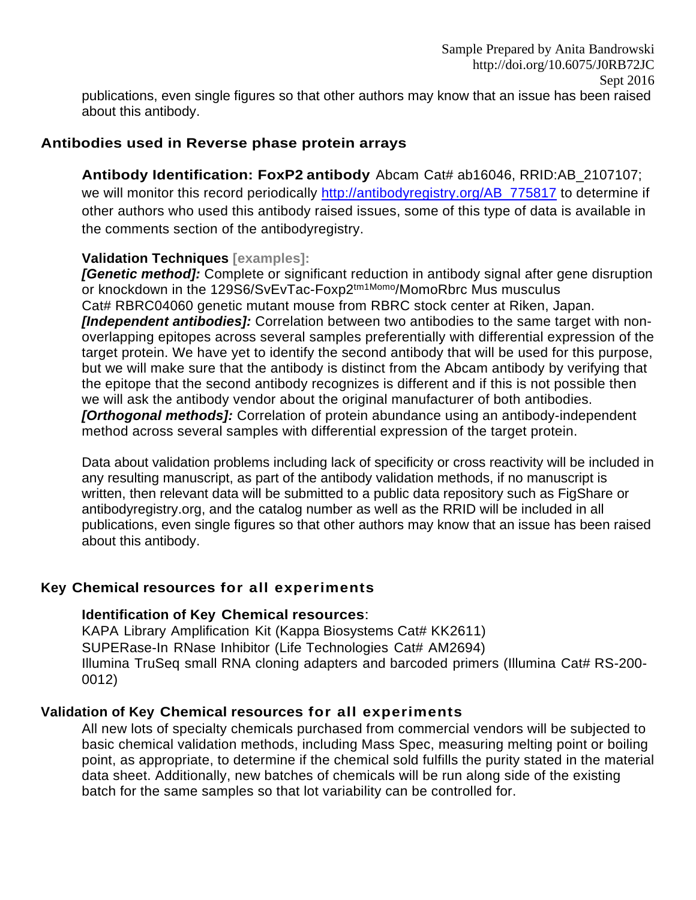### **Antibodies used in Reverse phase protein arrays**

**Antibody Identification: FoxP2 antibody** Abcam Cat# ab16046, RRID:AB\_2107107; we will monitor this record periodically [http://antibodyregistry.org/AB\\_775817](http://antibodyregistry.org/AB_775817) to determine if other authors who used this antibody raised issues, some of this type of data is available in the comments section of the antibodyregistry.

### **Validation Techniques [examples]:**

*[Genetic method]:* Complete or significant reduction in antibody signal after gene disruption or knockdown in the 129S6/SvEvTac-Foxp2<sup>tm1Momo</sup>/MomoRbrc Mus musculus Cat# RBRC04060 genetic mutant mouse from RBRC stock center at Riken, Japan. *[Independent antibodies]:* Correlation between two antibodies to the same target with nonoverlapping epitopes across several samples preferentially with differential expression of the target protein. We have yet to identify the second antibody that will be used for this purpose, but we will make sure that the antibody is distinct from the Abcam antibody by verifying that the epitope that the second antibody recognizes is different and if this is not possible then we will ask the antibody vendor about the original manufacturer of both antibodies. *[Orthogonal methods]:* Correlation of protein abundance using an antibody-independent method across several samples with differential expression of the target protein.

Data about validation problems including lack of specificity or cross reactivity will be included in any resulting manuscript, as part of the antibody validation methods, if no manuscript is written, then relevant data will be submitted to a public data repository such as FigShare or antibodyregistry.org, and the catalog number as well as the RRID will be included in all publications, even single figures so that other authors may know that an issue has been raised about this antibody.

### **Key Chemical resources for all experiments**

### **Identification of Key Chemical resources**:

KAPA Library Amplification Kit (Kappa Biosystems Cat# KK2611) SUPERase-In RNase Inhibitor (Life Technologies Cat# AM2694) Illumina TruSeq small RNA cloning adapters and barcoded primers (Illumina Cat# RS-200- 0012)

### **Validation of Key Chemical resources for all experiments**

All new lots of specialty chemicals purchased from commercial vendors will be subjected to basic chemical validation methods, including Mass Spec, measuring melting point or boiling point, as appropriate, to determine if the chemical sold fulfills the purity stated in the material data sheet. Additionally, new batches of chemicals will be run along side of the existing batch for the same samples so that lot variability can be controlled for.